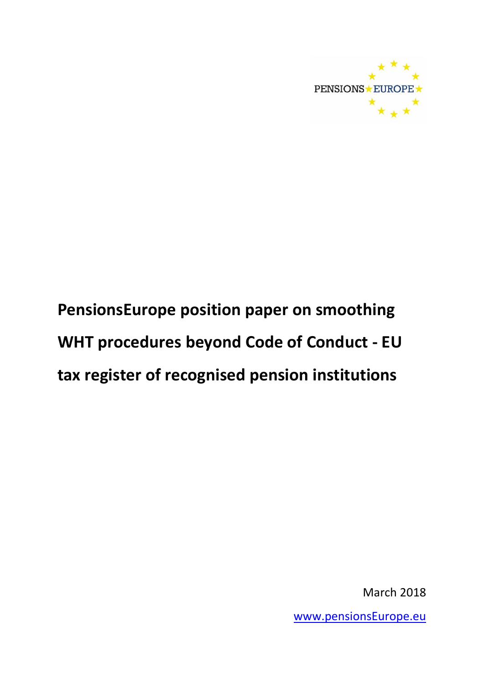

# **PensionsEurope position paper on smoothing WHT procedures beyond Code of Conduct - EU tax register of recognised pension institutions**

March 2018

[www.pensionsEurope.eu](http://www.pensionseurope.eu/)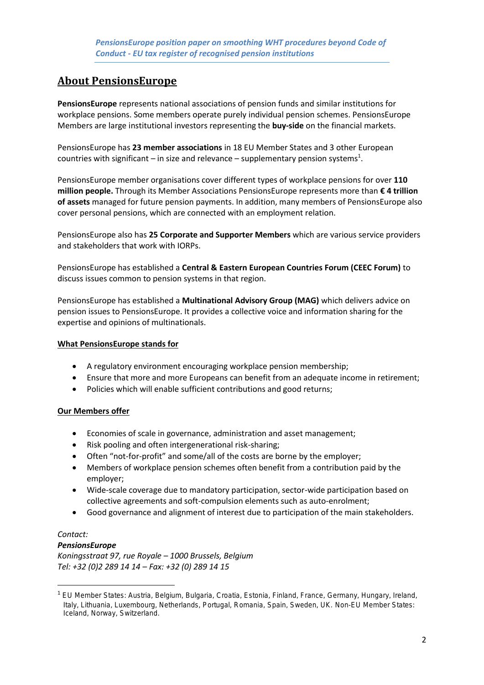## **About PensionsEurope**

**PensionsEurope** represents national associations of pension funds and similar institutions for workplace pensions. Some members operate purely individual pension schemes. PensionsEurope Members are large institutional investors representing the **buy-side** on the financial markets.

PensionsEurope has **23 member associations** in 18 EU Member States and 3 other European countries with significant – in size and relevance – supplementary pension systems<sup>1</sup>.

PensionsEurope member organisations cover different types of workplace pensions for over **110 million people.** Through its Member Associations PensionsEurope represents more than **€ 4 trillion of assets** managed for future pension payments. In addition, many members of PensionsEurope also cover personal pensions, which are connected with an employment relation.

PensionsEurope also has **25 Corporate and Supporter Members** which are various service providers and stakeholders that work with IORPs.

PensionsEurope has established a **Central & Eastern European Countries Forum (CEEC Forum)** to discuss issues common to pension systems in that region.

PensionsEurope has established a **Multinational Advisory Group (MAG)** which delivers advice on pension issues to PensionsEurope. It provides a collective voice and information sharing for the expertise and opinions of multinationals.

#### **What PensionsEurope stands for**

- A regulatory environment encouraging workplace pension membership;
- Ensure that more and more Europeans can benefit from an adequate income in retirement;
- Policies which will enable sufficient contributions and good returns;

#### **Our Members offer**

- Economies of scale in governance, administration and asset management;
- Risk pooling and often intergenerational risk-sharing;
- Often "not-for-profit" and some/all of the costs are borne by the employer;
- Members of workplace pension schemes often benefit from a contribution paid by the employer;
- Wide-scale coverage due to mandatory participation, sector-wide participation based on collective agreements and soft-compulsion elements such as auto-enrolment;
- Good governance and alignment of interest due to participation of the main stakeholders.

#### *Contact:*

**.** 

#### *PensionsEurope*

*Koningsstraat 97, rue Royale – 1000 Brussels, Belgium Tel: +32 (0)2 289 14 14 – Fax: +32 (0) 289 14 15*

<sup>1</sup> EU Member States: Austria, Belgium, Bulgaria, Croatia, Estonia, Finland, France, Germany, Hungary, Ireland, Italy, Lithuania, Luxembourg, Netherlands, Portugal, Romania, Spain, Sweden, UK. Non-EU Member States: Iceland, Norway, Switzerland.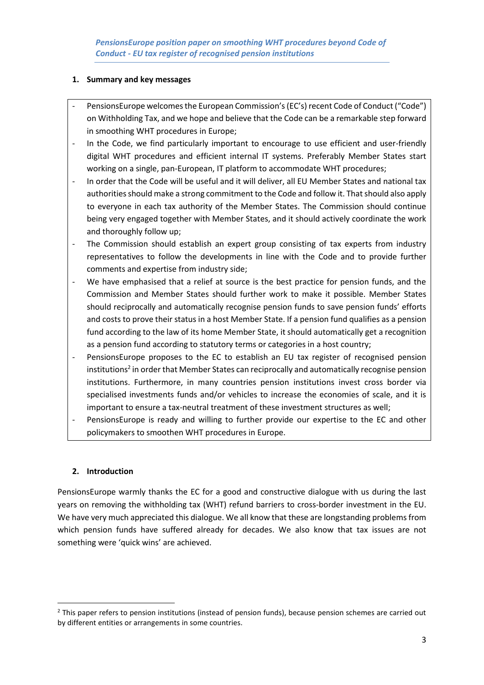#### **1. Summary and key messages**

- PensionsEurope welcomes the European Commission's (EC's) recent Code of Conduct ("Code") on Withholding Tax, and we hope and believe that the Code can be a remarkable step forward in smoothing WHT procedures in Europe;
- In the Code, we find particularly important to encourage to use efficient and user-friendly digital WHT procedures and efficient internal IT systems. Preferably Member States start working on a single, pan-European, IT platform to accommodate WHT procedures;
- In order that the Code will be useful and it will deliver, all EU Member States and national tax authorities should make a strong commitment to the Code and follow it. That should also apply to everyone in each tax authority of the Member States. The Commission should continue being very engaged together with Member States, and it should actively coordinate the work and thoroughly follow up;
- The Commission should establish an expert group consisting of tax experts from industry representatives to follow the developments in line with the Code and to provide further comments and expertise from industry side;
- We have emphasised that a relief at source is the best practice for pension funds, and the Commission and Member States should further work to make it possible. Member States should reciprocally and automatically recognise pension funds to save pension funds' efforts and costs to prove their status in a host Member State. If a pension fund qualifies as a pension fund according to the law of its home Member State, it should automatically get a recognition as a pension fund according to statutory terms or categories in a host country;
- PensionsEurope proposes to the EC to establish an EU tax register of recognised pension institutions<sup>2</sup> in order that Member States can reciprocally and automatically recognise pension institutions. Furthermore, in many countries pension institutions invest cross border via specialised investments funds and/or vehicles to increase the economies of scale, and it is important to ensure a tax-neutral treatment of these investment structures as well;
- PensionsEurope is ready and willing to further provide our expertise to the EC and other policymakers to smoothen WHT procedures in Europe.

#### **2. Introduction**

**.** 

PensionsEurope warmly thanks the EC for a good and constructive dialogue with us during the last years on removing the withholding tax (WHT) refund barriers to cross-border investment in the EU. We have very much appreciated this dialogue. We all know that these are longstanding problems from which pension funds have suffered already for decades. We also know that tax issues are not something were 'quick wins' are achieved.

 $<sup>2</sup>$  This paper refers to pension institutions (instead of pension funds), because pension schemes are carried out</sup> by different entities or arrangements in some countries.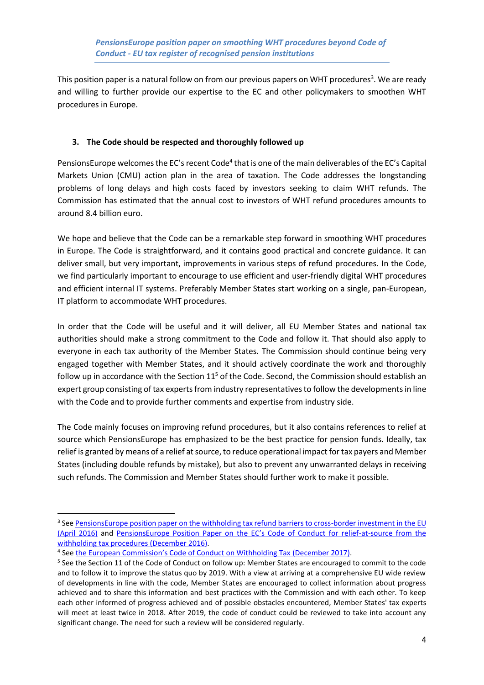This position paper is a natural follow on from our previous papers on WHT procedures<sup>3</sup>. We are ready and willing to further provide our expertise to the EC and other policymakers to smoothen WHT procedures in Europe.

#### **3. The Code should be respected and thoroughly followed up**

PensionsEurope welcomes the EC's recent Code<sup>4</sup> that is one of the main deliverables of the EC's Capital Markets Union (CMU) action plan in the area of taxation. The Code addresses the longstanding problems of long delays and high costs faced by investors seeking to claim WHT refunds. The Commission has estimated that the annual cost to investors of WHT refund procedures amounts to around 8.4 billion euro.

We hope and believe that the Code can be a remarkable step forward in smoothing WHT procedures in Europe. The Code is straightforward, and it contains good practical and concrete guidance. It can deliver small, but very important, improvements in various steps of refund procedures. In the Code, we find particularly important to encourage to use efficient and user-friendly digital WHT procedures and efficient internal IT systems. Preferably Member States start working on a single, pan-European, IT platform to accommodate WHT procedures.

In order that the Code will be useful and it will deliver, all EU Member States and national tax authorities should make a strong commitment to the Code and follow it. That should also apply to everyone in each tax authority of the Member States. The Commission should continue being very engaged together with Member States, and it should actively coordinate the work and thoroughly follow up in accordance with the Section  $11<sup>5</sup>$  of the Code. Second, the Commission should establish an expert group consisting of tax experts from industry representatives to follow the developments in line with the Code and to provide further comments and expertise from industry side.

The Code mainly focuses on improving refund procedures, but it also contains references to relief at source which PensionsEurope has emphasized to be the best practice for pension funds. Ideally, tax relief is granted by means of a relief at source, to reduce operational impact for tax payers and Member States (including double refunds by mistake), but also to prevent any unwarranted delays in receiving such refunds. The Commission and Member States should further work to make it possible.

1

<sup>&</sup>lt;sup>3</sup> See <u>[PensionsEurope position paper on the withholding tax refund barriers to cross-border investment in](https://www.pensionseurope.eu/system/files/PensionsEurope%20position%20paper%20on%20the%20withholding%20tax%20refund%20barriers%20-%20FINAL.pdf) the EU</u> [\(April 2016\)](https://www.pensionseurope.eu/system/files/PensionsEurope%20position%20paper%20on%20the%20withholding%20tax%20refund%20barriers%20-%20FINAL.pdf) and [PensionsEurope Position Paper on the EC's Code of Conduct for relief](https://www.pensionseurope.eu/system/files/PensionsEurope%20position%20paper%20on%20WHT%20Code%20of%20Conduct%20-%202016-11-30.pdf)-at-source from the [withholding tax procedures](https://www.pensionseurope.eu/system/files/PensionsEurope%20position%20paper%20on%20WHT%20Code%20of%20Conduct%20-%202016-11-30.pdf) (December 2016).

<sup>&</sup>lt;sup>4</sup> See [the European Commission's Code of Conduct on Withholding Tax](https://ec.europa.eu/taxation_customs/sites/taxation/files/code_of_conduct_on_witholding_tax.pdf) (December 2017).

<sup>&</sup>lt;sup>5</sup> See the Section 11 of the Code of Conduct on follow up: Member States are encouraged to commit to the code and to follow it to improve the status quo by 2019. With a view at arriving at a comprehensive EU wide review of developments in line with the code, Member States are encouraged to collect information about progress achieved and to share this information and best practices with the Commission and with each other. To keep each other informed of progress achieved and of possible obstacles encountered, Member States' tax experts will meet at least twice in 2018. After 2019, the code of conduct could be reviewed to take into account any significant change. The need for such a review will be considered regularly.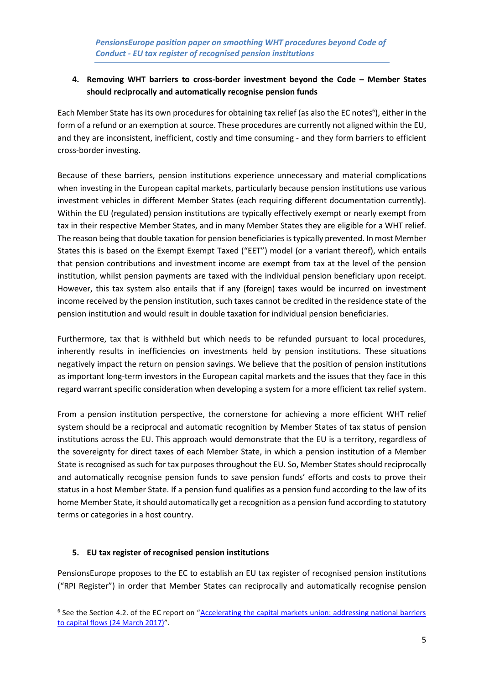### **4. Removing WHT barriers to cross-border investment beyond the Code – Member States should reciprocally and automatically recognise pension funds**

Each Member State has its own procedures for obtaining tax relief (as also the EC notes<sup>6</sup>), either in the form of a refund or an exemption at source. These procedures are currently not aligned within the EU, and they are inconsistent, inefficient, costly and time consuming - and they form barriers to efficient cross-border investing.

Because of these barriers, pension institutions experience unnecessary and material complications when investing in the European capital markets, particularly because pension institutions use various investment vehicles in different Member States (each requiring different documentation currently). Within the EU (regulated) pension institutions are typically effectively exempt or nearly exempt from tax in their respective Member States, and in many Member States they are eligible for a WHT relief. The reason being that double taxation for pension beneficiaries is typically prevented. In most Member States this is based on the Exempt Exempt Taxed ("EET") model (or a variant thereof), which entails that pension contributions and investment income are exempt from tax at the level of the pension institution, whilst pension payments are taxed with the individual pension beneficiary upon receipt. However, this tax system also entails that if any (foreign) taxes would be incurred on investment income received by the pension institution, such taxes cannot be credited in the residence state of the pension institution and would result in double taxation for individual pension beneficiaries.

Furthermore, tax that is withheld but which needs to be refunded pursuant to local procedures, inherently results in inefficiencies on investments held by pension institutions. These situations negatively impact the return on pension savings. We believe that the position of pension institutions as important long-term investors in the European capital markets and the issues that they face in this regard warrant specific consideration when developing a system for a more efficient tax relief system.

From a pension institution perspective, the cornerstone for achieving a more efficient WHT relief system should be a reciprocal and automatic recognition by Member States of tax status of pension institutions across the EU. This approach would demonstrate that the EU is a territory, regardless of the sovereignty for direct taxes of each Member State, in which a pension institution of a Member State is recognised as such for tax purposes throughout the EU. So, Member States should reciprocally and automatically recognise pension funds to save pension funds' efforts and costs to prove their status in a host Member State. If a pension fund qualifies as a pension fund according to the law of its home Member State, it should automatically get a recognition as a pension fund according to statutory terms or categories in a host country.

#### **5. EU tax register of recognised pension institutions**

**.** 

PensionsEurope proposes to the EC to establish an EU tax register of recognised pension institutions ("RPI Register") in order that Member States can reciprocally and automatically recognise pension

<sup>&</sup>lt;sup>6</sup> See the Section 4.2. of the EC report on "Accelerating the capital markets union: addressing national barriers [to capital flows](https://ec.europa.eu/info/files/170227-report-capital-barriers_en) (24 March 2017)".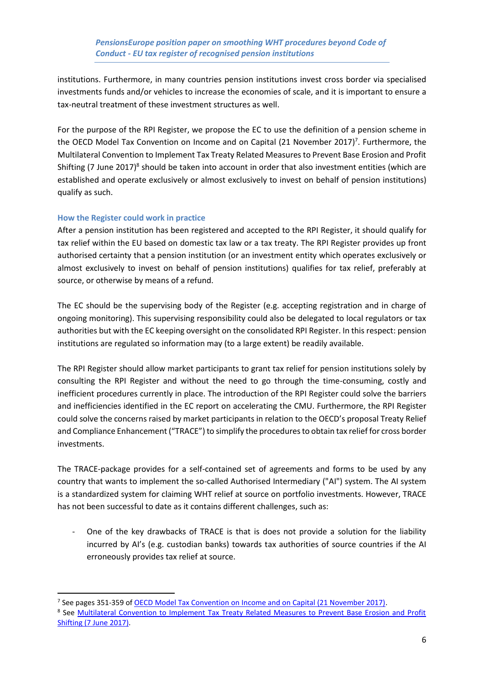institutions. Furthermore, in many countries pension institutions invest cross border via specialised investments funds and/or vehicles to increase the economies of scale, and it is important to ensure a tax-neutral treatment of these investment structures as well.

For the purpose of the RPI Register, we propose the EC to use the definition of a pension scheme in the OECD Model Tax Convention on Income and on Capital (21 November 2017)<sup>7</sup>. Furthermore, the Multilateral Convention to Implement Tax Treaty Related Measures to Prevent Base Erosion and Profit Shifting (7 June 2017)<sup>8</sup> should be taken into account in order that also investment entities (which are established and operate exclusively or almost exclusively to invest on behalf of pension institutions) qualify as such.

#### **How the Register could work in practice**

**.** 

After a pension institution has been registered and accepted to the RPI Register, it should qualify for tax relief within the EU based on domestic tax law or a tax treaty. The RPI Register provides up front authorised certainty that a pension institution (or an investment entity which operates exclusively or almost exclusively to invest on behalf of pension institutions) qualifies for tax relief, preferably at source, or otherwise by means of a refund.

The EC should be the supervising body of the Register (e.g. accepting registration and in charge of ongoing monitoring). This supervising responsibility could also be delegated to local regulators or tax authorities but with the EC keeping oversight on the consolidated RPI Register. In this respect: pension institutions are regulated so information may (to a large extent) be readily available.

The RPI Register should allow market participants to grant tax relief for pension institutions solely by consulting the RPI Register and without the need to go through the time-consuming, costly and inefficient procedures currently in place. The introduction of the RPI Register could solve the barriers and inefficiencies identified in the EC report on accelerating the CMU. Furthermore, the RPI Register could solve the concerns raised by market participants in relation to the OECD's proposal Treaty Relief and Compliance Enhancement ("TRACE") to simplify the procedures to obtain tax relief for cross border investments.

The TRACE-package provides for a self-contained set of agreements and forms to be used by any country that wants to implement the so-called Authorised Intermediary ("AI") system. The AI system is a standardized system for claiming WHT relief at source on portfolio investments. However, TRACE has not been successful to date as it contains different challenges, such as:

- One of the key drawbacks of TRACE is that is does not provide a solution for the liability incurred by AI's (e.g. custodian banks) towards tax authorities of source countries if the AI erroneously provides tax relief at source.

<sup>&</sup>lt;sup>7</sup> See pages 351-359 of [OECD Model Tax Convention on Income and on Capital \(21 November 2017\).](http://www.keepeek.com/Digital-Asset-Management/oecd/taxation/model-tax-convention-on-income-and-on-capital-condensed-version-2017_mtc_cond-2017-en#page356)

<sup>&</sup>lt;sup>8</sup> See Multilateral Convention to Implement Tax Treaty Related Measures to Prevent Base Erosion and Profit [Shifting \(7 June 2017\).](http://www.oecd.org/tax/treaties/multilateral-convention-to-implement-tax-treaty-related-measures-to-prevent-BEPS.pdf)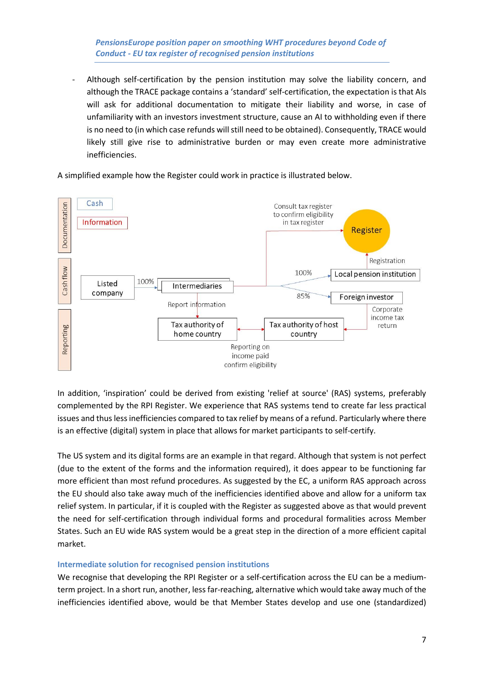*PensionsEurope position paper on smoothing WHT procedures beyond Code of Conduct - EU tax register of recognised pension institutions*

Although self-certification by the pension institution may solve the liability concern, and although the TRACE package contains a 'standard' self-certification, the expectation is that AIs will ask for additional documentation to mitigate their liability and worse, in case of unfamiliarity with an investors investment structure, cause an AI to withholding even if there is no need to (in which case refunds will still need to be obtained). Consequently, TRACE would likely still give rise to administrative burden or may even create more administrative inefficiencies.

A simplified example how the Register could work in practice is illustrated below.



In addition, 'inspiration' could be derived from existing 'relief at source' (RAS) systems, preferably complemented by the RPI Register. We experience that RAS systems tend to create far less practical issues and thus less inefficiencies compared to tax relief by means of a refund. Particularly where there is an effective (digital) system in place that allows for market participants to self-certify.

The US system and its digital forms are an example in that regard. Although that system is not perfect (due to the extent of the forms and the information required), it does appear to be functioning far more efficient than most refund procedures. As suggested by the EC, a uniform RAS approach across the EU should also take away much of the inefficiencies identified above and allow for a uniform tax relief system. In particular, if it is coupled with the Register as suggested above as that would prevent the need for self-certification through individual forms and procedural formalities across Member States. Such an EU wide RAS system would be a great step in the direction of a more efficient capital market.

#### **Intermediate solution for recognised pension institutions**

We recognise that developing the RPI Register or a self-certification across the EU can be a mediumterm project. In a short run, another, less far-reaching, alternative which would take away much of the inefficiencies identified above, would be that Member States develop and use one (standardized)